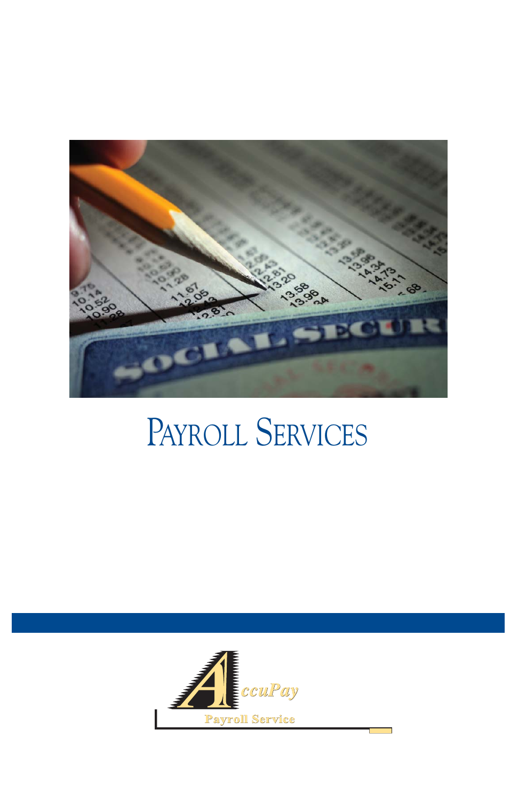

## PAYROLL SERVICES